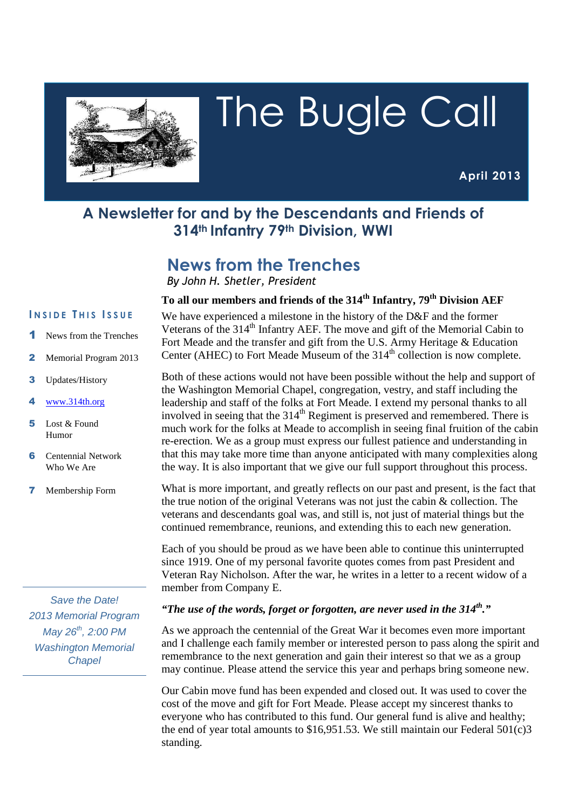

# The Bugle Call

**April 2013**

# **A Newsletter for and by the Descendants and Friends of 314th Infantry 79th Division, WWI**

# **News from the Trenches**

*By John H. Shetler, President*

#### **I N S I D E T H I S I S S U E**

- News from the Trenches
- 2 Memorial Program 2013
- 3 Updates/History
- www.314th.org
- 5 Lost & Found Humor
- 6 Centennial Network Who We Are
- 7 Membership Form

Save the Date! 2013 Memorial Program  $May 26<sup>th</sup>, 2:00 PM$ Washington Memorial **Chapel** 

## **To all our members and friends of the 314th Infantry, 79th Division AEF**

We have experienced a milestone in the history of the D&F and the former Veterans of the 314<sup>th</sup> Infantry AEF. The move and gift of the Memorial Cabin to Fort Meade and the transfer and gift from the U.S. Army Heritage & Education Center (AHEC) to Fort Meade Museum of the  $314<sup>th</sup>$  collection is now complete.

Both of these actions would not have been possible without the help and support of the Washington Memorial Chapel, congregation, vestry, and staff including the leadership and staff of the folks at Fort Meade. I extend my personal thanks to all involved in seeing that the  $314<sup>th</sup>$  Regiment is preserved and remembered. There is much work for the folks at Meade to accomplish in seeing final fruition of the cabin re-erection. We as a group must express our fullest patience and understanding in that this may take more time than anyone anticipated with many complexities along the way. It is also important that we give our full support throughout this process.

What is more important, and greatly reflects on our past and present, is the fact that the true notion of the original Veterans was not just the cabin  $\&$  collection. The veterans and descendants goal was, and still is, not just of material things but the continued remembrance, reunions, and extending this to each new generation.

Each of you should be proud as we have been able to continue this uninterrupted since 1919. One of my personal favorite quotes comes from past President and Veteran Ray Nicholson. After the war, he writes in a letter to a recent widow of a member from Company E.

#### *"The use of the words, forget or forgotten, are never used in the 314th."*

As we approach the centennial of the Great War it becomes even more important and I challenge each family member or interested person to pass along the spirit and remembrance to the next generation and gain their interest so that we as a group may continue. Please attend the service this year and perhaps bring someone new.

Our Cabin move fund has been expended and closed out. It was used to cover the cost of the move and gift for Fort Meade. Please accept my sincerest thanks to everyone who has contributed to this fund. Our general fund is alive and healthy; the end of year total amounts to \$16,951.53. We still maintain our Federal 501(c)3 standing.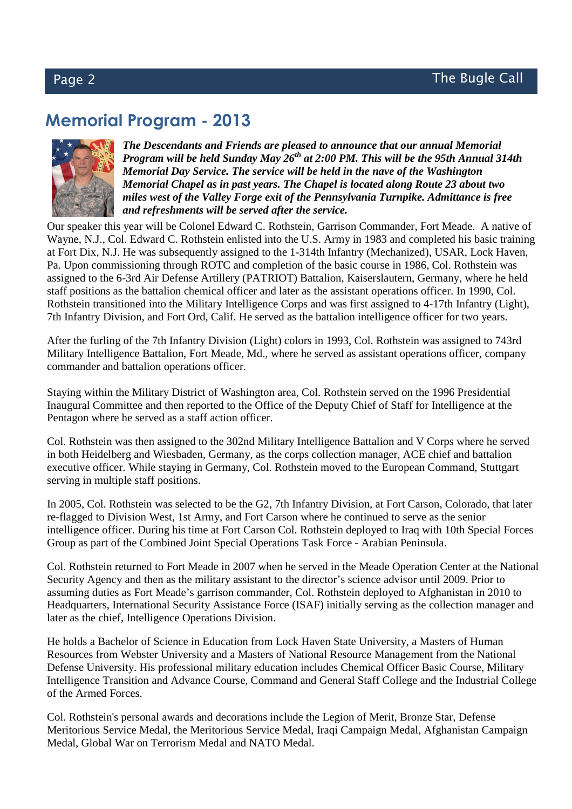# **Memorial Program - 2013**



*The Descendants and Friends are pleased to announce that our annual Memorial Program will be held Sunday May 26th at 2:00 PM. This will be the 95th Annual 314th Memorial Day Service. The service will be held in the nave of the Washington Memorial Chapel as in past years. The Chapel is located along Route 23 about two miles west of the Valley Forge exit of the Pennsylvania Turnpike. Admittance is free and refreshments will be served after the service.* 

Our speaker this year will be Colonel Edward C. Rothstein, Garrison Commander, Fort Meade. A native of Wayne, N.J., Col. Edward C. Rothstein enlisted into the U.S. Army in 1983 and completed his basic training at Fort Dix, N.J. He was subsequently assigned to the 1-314th Infantry (Mechanized), USAR, Lock Haven, Pa. Upon commissioning through ROTC and completion of the basic course in 1986, Col. Rothstein was assigned to the 6-3rd Air Defense Artillery (PATRIOT) Battalion, Kaiserslautern, Germany, where he held staff positions as the battalion chemical officer and later as the assistant operations officer. In 1990, Col. Rothstein transitioned into the Military Intelligence Corps and was first assigned to 4-17th Infantry (Light), 7th Infantry Division, and Fort Ord, Calif. He served as the battalion intelligence officer for two years.

After the furling of the 7th Infantry Division (Light) colors in 1993, Col. Rothstein was assigned to 743rd Military Intelligence Battalion, Fort Meade, Md., where he served as assistant operations officer, company commander and battalion operations officer.

Staying within the Military District of Washington area, Col. Rothstein served on the 1996 Presidential Inaugural Committee and then reported to the Office of the Deputy Chief of Staff for Intelligence at the Pentagon where he served as a staff action officer.

Col. Rothstein was then assigned to the 302nd Military Intelligence Battalion and V Corps where he served in both Heidelberg and Wiesbaden, Germany, as the corps collection manager, ACE chief and battalion executive officer. While staying in Germany, Col. Rothstein moved to the European Command, Stuttgart serving in multiple staff positions.

In 2005, Col. Rothstein was selected to be the G2, 7th Infantry Division, at Fort Carson, Colorado, that later re-flagged to Division West, 1st Army, and Fort Carson where he continued to serve as the senior intelligence officer. During his time at Fort Carson Col. Rothstein deployed to Iraq with 10th Special Forces Group as part of the Combined Joint Special Operations Task Force - Arabian Peninsula.

Col. Rothstein returned to Fort Meade in 2007 when he served in the Meade Operation Center at the National Security Agency and then as the military assistant to the director's science advisor until 2009. Prior to assuming duties as Fort Meade's garrison commander, Col. Rothstein deployed to Afghanistan in 2010 to Headquarters, International Security Assistance Force (ISAF) initially serving as the collection manager and later as the chief, Intelligence Operations Division.

He holds a Bachelor of Science in Education from Lock Haven State University, a Masters of Human Resources from Webster University and a Masters of National Resource Management from the National Defense University. His professional military education includes Chemical Officer Basic Course, Military Intelligence Transition and Advance Course, Command and General Staff College and the Industrial College of the Armed Forces.

Col. Rothstein's personal awards and decorations include the Legion of Merit, Bronze Star, Defense Meritorious Service Medal, the Meritorious Service Medal, Iraqi Campaign Medal, Afghanistan Campaign Medal, Global War on Terrorism Medal and NATO Medal.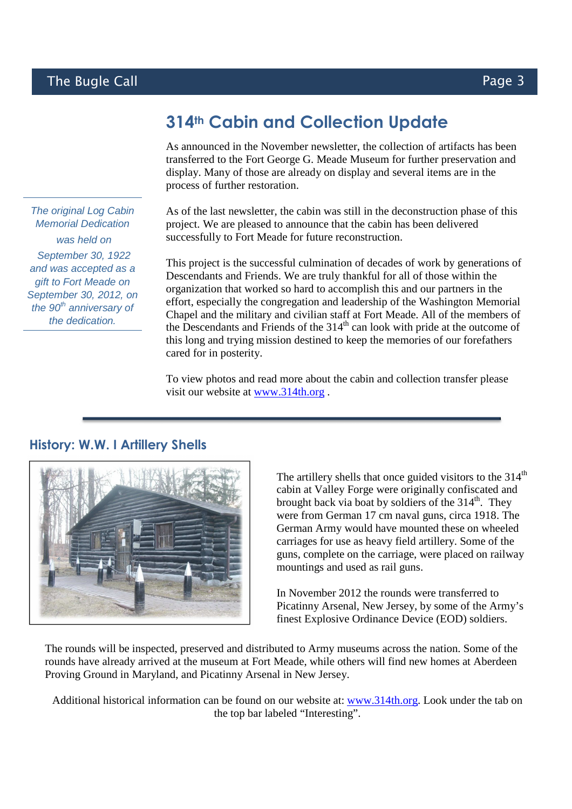# **314th Cabin and Collection Update**

As announced in the November newsletter, the collection of artifacts has been transferred to the Fort George G. Meade Museum for further preservation and display. Many of those are already on display and several items are in the process of further restoration.

As of the last newsletter, the cabin was still in the deconstruction phase of this project. We are pleased to announce that the cabin has been delivered successfully to Fort Meade for future reconstruction.

This project is the successful culmination of decades of work by generations of Descendants and Friends. We are truly thankful for all of those within the organization that worked so hard to accomplish this and our partners in the effort, especially the congregation and leadership of the Washington Memorial Chapel and the military and civilian staff at Fort Meade. All of the members of the Descendants and Friends of the 314<sup>th</sup> can look with pride at the outcome of this long and trying mission destined to keep the memories of our forefathers cared for in posterity.

To view photos and read more about the cabin and collection transfer please visit our website at www.314th.org .



### **History: W.W. I Artillery Shells**

The artillery shells that once guided visitors to the  $314<sup>th</sup>$ cabin at Valley Forge were originally confiscated and brought back via boat by soldiers of the  $314<sup>th</sup>$ . They were from German 17 cm naval guns, circa 1918. The German Army would have mounted these on wheeled carriages for use as heavy field artillery. Some of the guns, complete on the carriage, were placed on railway mountings and used as rail guns.

In November 2012 the rounds were transferred to Picatinny Arsenal, New Jersey, by some of the Army's finest Explosive Ordinance Device (EOD) soldiers.

The rounds will be inspected, preserved and distributed to Army museums across the nation. Some of the rounds have already arrived at the museum at Fort Meade, while others will find new homes at Aberdeen Proving Ground in Maryland, and Picatinny Arsenal in New Jersey.

Additional historical information can be found on our website at: www.314th.org. Look under the tab on the top bar labeled "Interesting".

The original Log Cabin Memorial Dedication was held on September 30, 1922 and was accepted as a gift to Fort Meade on September 30, 2012, on the  $90<sup>th</sup>$  anniversary of the dedication.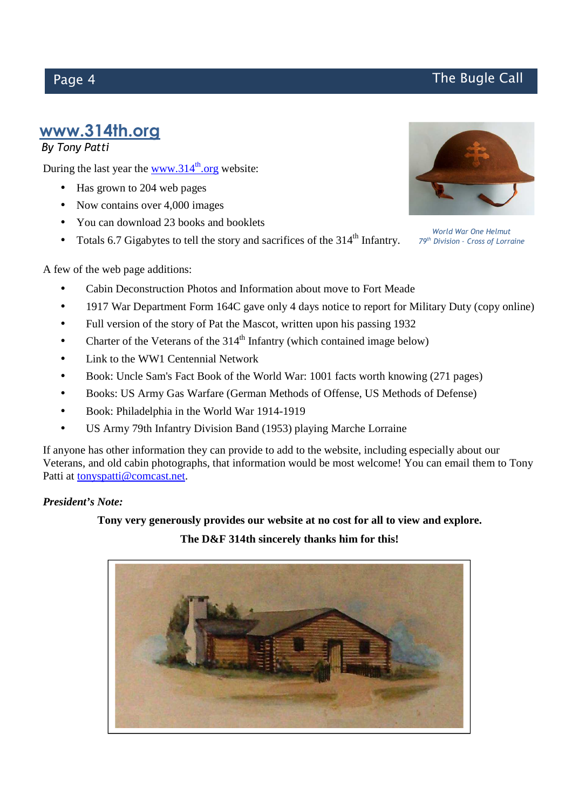# **www.314th.org**

### *By Tony Patti*

During the last year the www.314 $^{\text{th}}$ .org website:

- Has grown to 204 web pages
- Now contains over 4,000 images
- You can download 23 books and booklets
- Totals 6.7 Gigabytes to tell the story and sacrifices of the  $314<sup>th</sup>$  Infantry.



*World War One Helmut 79th Division – Cross of Lorraine*

A few of the web page additions:

- Cabin Deconstruction Photos and Information about move to Fort Meade
- 1917 War Department Form 164C gave only 4 days notice to report for Military Duty (copy online)
- Full version of the story of Pat the Mascot, written upon his passing 1932
- Charter of the Veterans of the  $314<sup>th</sup>$  Infantry (which contained image below)
- Link to the WW1 Centennial Network
- Book: Uncle Sam's Fact Book of the World War: 1001 facts worth knowing (271 pages)
- Books: US Army Gas Warfare (German Methods of Offense, US Methods of Defense)
- Book: Philadelphia in the World War 1914-1919
- US Army 79th Infantry Division Band (1953) playing Marche Lorraine

If anyone has other information they can provide to add to the website, including especially about our Veterans, and old cabin photographs, that information would be most welcome! You can email them to Tony Patti at tonyspatti@comcast.net.

#### *President's Note:*

#### **Tony very generously provides our website at no cost for all to view and explore.**

#### **The D&F 314th sincerely thanks him for this!**



# Page 4 **The Bugle Call**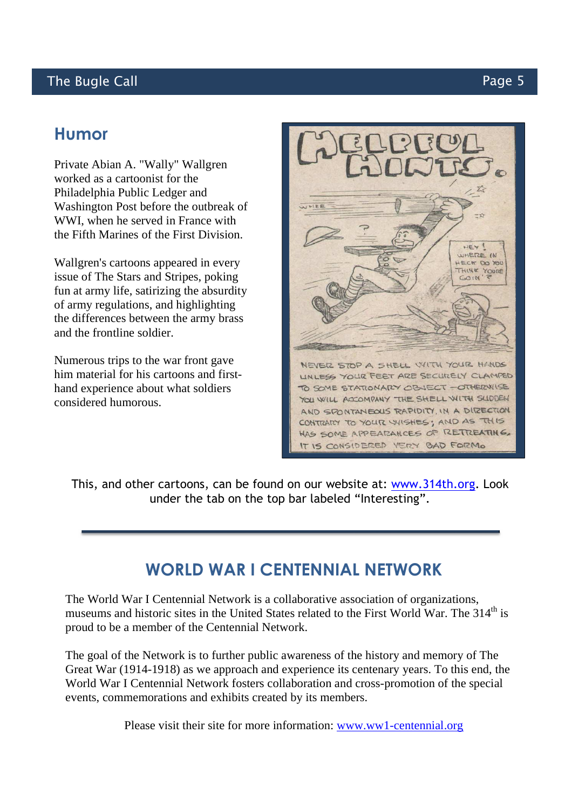## The Bugle Call **Page 5**

## **Humor**

Private Abian A. "Wally" Wallgren worked as a cartoonist for the Philadelphia Public Ledger and Washington Post before the outbreak of WWI, when he served in France with the Fifth Marines of the First Division.

Wallgren's cartoons appeared in every issue of The Stars and Stripes, poking fun at army life, satirizing the absurdity of army regulations, and highlighting the differences between the army brass and the frontline soldier.

Numerous trips to the war front gave him material for his cartoons and firsthand experience about what soldiers considered humorous.



This, and other cartoons, can be found on our website at: www.314th.org. Look under the tab on the top bar labeled "Interesting".

# **WORLD WAR I CENTENNIAL NETWORK**

The World War I Centennial Network is a collaborative association of organizations, museums and historic sites in the United States related to the First World War. The 314<sup>th</sup> is proud to be a member of the Centennial Network.

The goal of the Network is to further public awareness of the history and memory of The Great War (1914-1918) as we approach and experience its centenary years. To this end, the World War I Centennial Network fosters collaboration and cross-promotion of the special events, commemorations and exhibits created by its members.

Please visit their site for more information: www.ww1-centennial.org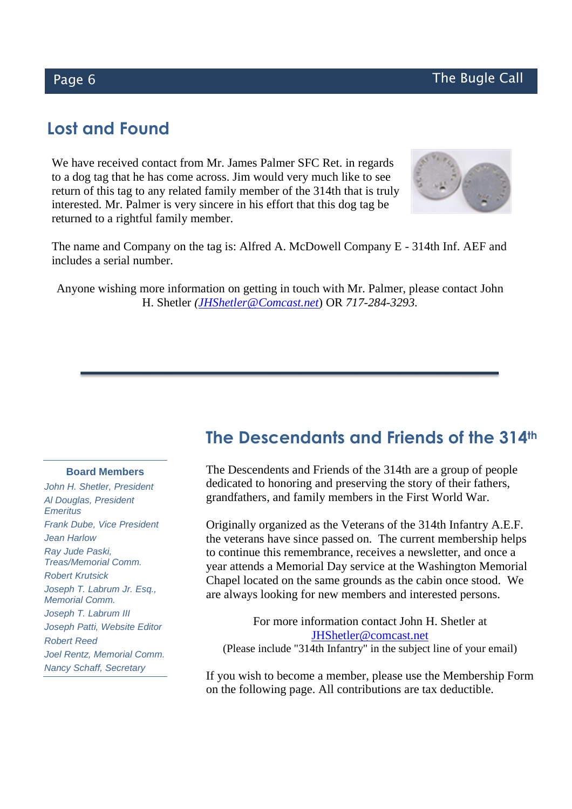# **Lost and Found**

We have received contact from Mr. James Palmer SFC Ret. in regards to a dog tag that he has come across. Jim would very much like to see return of this tag to any related family member of the 314th that is truly interested. Mr. Palmer is very sincere in his effort that this dog tag be returned to a rightful family member.



The name and Company on the tag is: Alfred A. McDowell Company E - 314th Inf. AEF and includes a serial number.

Anyone wishing more information on getting in touch with Mr. Palmer, please contact John H. Shetler *(JHShetler@Comcast.net*) OR *717-284-3293.* 

# **The Descendants and Friends of the 314th**

#### **Board Members**

John H. Shetler, President Al Douglas, President **Emeritus** Frank Dube, Vice President Jean Harlow Ray Jude Paski, Treas/Memorial Comm. Robert Krutsick Joseph T. Labrum Jr. Esq., Memorial Comm. Joseph T. Labrum III Joseph Patti, Website Editor Robert Reed Joel Rentz, Memorial Comm. Nancy Schaff, Secretary

The Descendents and Friends of the 314th are a group of people dedicated to honoring and preserving the story of their fathers, grandfathers, and family members in the First World War.

Originally organized as the Veterans of the 314th Infantry A.E.F. the veterans have since passed on. The current membership helps to continue this remembrance, receives a newsletter, and once a year attends a Memorial Day service at the Washington Memorial Chapel located on the same grounds as the cabin once stood. We are always looking for new members and interested persons.

For more information contact John H. Shetler at JHShetler@comcast.net (Please include "314th Infantry" in the subject line of your email)

If you wish to become a member, please use the Membership Form on the following page. All contributions are tax deductible.